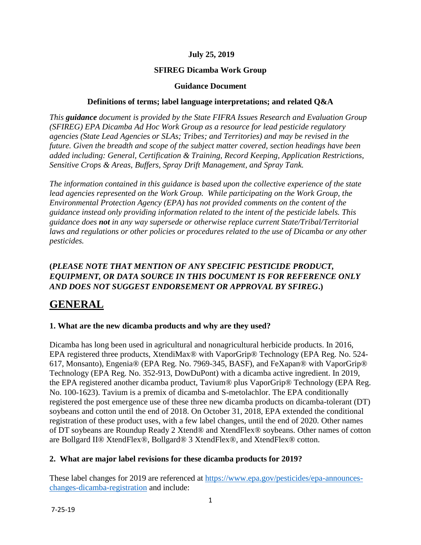#### **July 25, 2019**

#### **SFIREG Dicamba Work Group**

#### **Guidance Document**

#### **Definitions of terms; label language interpretations; and related Q&A**

*This guidance document is provided by the State FIFRA Issues Research and Evaluation Group (SFIREG) EPA Dicamba Ad Hoc Work Group as a resource for lead pesticide regulatory agencies (State Lead Agencies or SLAs; Tribes; and Territories) and may be revised in the future. Given the breadth and scope of the subject matter covered, section headings have been added including: General, Certification & Training, Record Keeping, Application Restrictions, Sensitive Crops & Areas, Buffers, Spray Drift Management, and Spray Tank.* 

*The information contained in this guidance is based upon the collective experience of the state*  lead agencies represented on the Work Group. While participating on the Work Group, the *Environmental Protection Agency (EPA) has not provided comments on the content of the guidance instead only providing information related to the intent of the pesticide labels. This guidance does not in any way supersede or otherwise replace current State/Tribal/Territorial laws and regulations or other policies or procedures related to the use of Dicamba or any other pesticides.* 

#### **(***PLEASE NOTE THAT MENTION OF ANY SPECIFIC PESTICIDE PRODUCT, EQUIPMENT, OR DATA SOURCE IN THIS DOCUMENT IS FOR REFERENCE ONLY AND DOES NOT SUGGEST ENDORSEMENT OR APPROVAL BY SFIREG***.)**

## **GENERAL**

#### **1. What are the new dicamba products and why are they used?**

Dicamba has long been used in agricultural and nonagricultural herbicide products. In 2016, EPA registered three products, XtendiMax® with VaporGrip® Technology (EPA Reg. No. 524- 617, Monsanto), Engenia® (EPA Reg. No. 7969-345, BASF), and FeXapan® with VaporGrip® Technology (EPA Reg. No. 352-913, DowDuPont) with a dicamba active ingredient. In 2019, the EPA registered another dicamba product, Tavium® plus VaporGrip® Technology (EPA Reg. No. 100-1623). Tavium is a premix of dicamba and S-metolachlor. The EPA conditionally registered the post emergence use of these three new dicamba products on dicamba-tolerant (DT) soybeans and cotton until the end of 2018. On October 31, 2018, EPA extended the conditional registration of these product uses, with a few label changes, until the end of 2020. Other names of DT soybeans are Roundup Ready 2 Xtend® and XtendFlex® soybeans. Other names of cotton are Bollgard II® XtendFlex®, Bollgard® 3 XtendFlex®, and XtendFlex® cotton.

#### **2. What are major label revisions for these dicamba products for 2019?**

These label changes for 2019 are referenced at [https://www.epa.gov/pesticides/epa-announces](https://www.epa.gov/pesticides/epa-announces-changes-dicamba-registration)[changes-dicamba-registration](https://www.epa.gov/pesticides/epa-announces-changes-dicamba-registration) and include: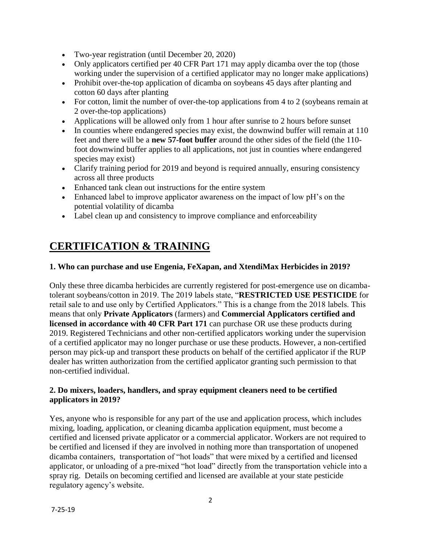- Two-year registration (until December 20, 2020)
- Only applicators certified per 40 CFR Part 171 may apply dicamba over the top (those working under the supervision of a certified applicator may no longer make applications)
- Prohibit over-the-top application of dicamba on soybeans 45 days after planting and cotton 60 days after planting
- For cotton, limit the number of over-the-top applications from 4 to 2 (soybeans remain at 2 over-the-top applications)
- Applications will be allowed only from 1 hour after sunrise to 2 hours before sunset
- In counties where endangered species may exist, the downwind buffer will remain at 110 feet and there will be a **new 57-foot buffer** around the other sides of the field (the 110 foot downwind buffer applies to all applications, not just in counties where endangered species may exist)
- Clarify training period for 2019 and beyond is required annually, ensuring consistency across all three products
- Enhanced tank clean out instructions for the entire system
- Enhanced label to improve applicator awareness on the impact of low pH's on the potential volatility of dicamba
- Label clean up and consistency to improve compliance and enforceability

# **CERTIFICATION & TRAINING**

### **1. Who can purchase and use Engenia, FeXapan, and XtendiMax Herbicides in 2019?**

Only these three dicamba herbicides are currently registered for post-emergence use on dicambatolerant soybeans/cotton in 2019. The 2019 labels state, "**RESTRICTED USE PESTICIDE** for retail sale to and use only by Certified Applicators." This is a change from the 2018 labels. This means that only **Private Applicators** (farmers) and **Commercial Applicators certified and licensed in accordance with 40 CFR Part 171** can purchase OR use these products during 2019. Registered Technicians and other non-certified applicators working under the supervision of a certified applicator may no longer purchase or use these products. However, a non-certified person may pick-up and transport these products on behalf of the certified applicator if the RUP dealer has written authorization from the certified applicator granting such permission to that non-certified individual.

#### **2. Do mixers, loaders, handlers, and spray equipment cleaners need to be certified applicators in 2019?**

Yes, anyone who is responsible for any part of the use and application process, which includes mixing, loading, application, or cleaning dicamba application equipment, must become a certified and licensed private applicator or a commercial applicator. Workers are not required to be certified and licensed if they are involved in nothing more than transportation of unopened dicamba containers, transportation of "hot loads" that were mixed by a certified and licensed applicator, or unloading of a pre-mixed "hot load" directly from the transportation vehicle into a spray rig. Details on becoming certified and licensed are available at your state pesticide regulatory agency's website.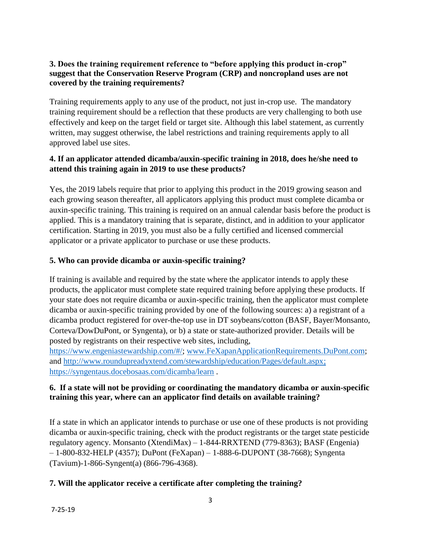#### **3. Does the training requirement reference to "before applying this product in-crop" suggest that the Conservation Reserve Program (CRP) and noncropland uses are not covered by the training requirements?**

Training requirements apply to any use of the product, not just in-crop use. The mandatory training requirement should be a reflection that these products are very challenging to both use effectively and keep on the target field or target site. Although this label statement, as currently written, may suggest otherwise, the label restrictions and training requirements apply to all approved label use sites.

#### **4. If an applicator attended dicamba/auxin-specific training in 2018, does he/she need to attend this training again in 2019 to use these products?**

Yes, the 2019 labels require that prior to applying this product in the 2019 growing season and each growing season thereafter, all applicators applying this product must complete dicamba or auxin-specific training. This training is required on an annual calendar basis before the product is applied. This is a mandatory training that is separate, distinct, and in addition to your applicator certification. Starting in 2019, you must also be a fully certified and licensed commercial applicator or a private applicator to purchase or use these products.

### **5. Who can provide dicamba or auxin-specific training?**

If training is available and required by the state where the applicator intends to apply these products, the applicator must complete state required training before applying these products. If your state does not require dicamba or auxin-specific training, then the applicator must complete dicamba or auxin-specific training provided by one of the following sources: a) a registrant of a dicamba product registered for over-the-top use in DT soybeans/cotton (BASF, Bayer/Monsanto, Corteva/DowDuPont, or Syngenta), or b) a state or state-authorized provider. Details will be posted by registrants on their respective web sites, including,

[https://www.engeniastewardship.com/#/;](https://www.engeniastewardship.com/#/) [www.FeXapanApplicationRequirements.DuPont.com;](http://www.fexapanapplicationrequirements.dupont.com/) and [http://www.roundupreadyxtend.com/stewardship/education/Pages/default.aspx;](http://www.roundupreadyxtend.com/stewardship/education/Pages/default.aspx) <https://syngentaus.docebosaas.com/dicamba/learn> .

### **6. If a state will not be providing or coordinating the mandatory dicamba or auxin-specific training this year, where can an applicator find details on available training?**

If a state in which an applicator intends to purchase or use one of these products is not providing dicamba or auxin-specific training, check with the product registrants or the target state pesticide regulatory agency. Monsanto (XtendiMax) – 1-844-RRXTEND (779-8363); BASF (Engenia) – 1-800-832-HELP (4357); DuPont (FeXapan) – 1-888-6-DUPONT (38-7668); Syngenta (Tavium)-1-866-Syngent(a) (866-796-4368).

### **7. Will the applicator receive a certificate after completing the training?**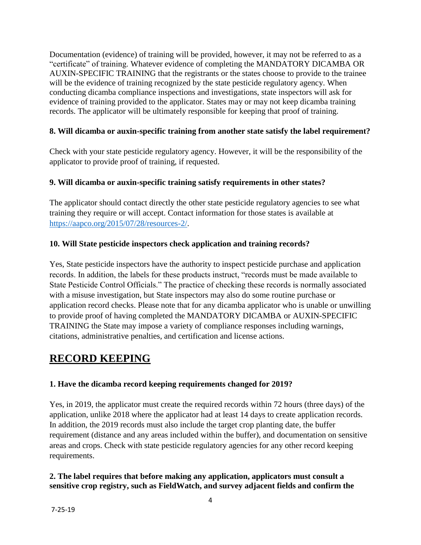Documentation (evidence) of training will be provided, however, it may not be referred to as a "certificate" of training. Whatever evidence of completing the MANDATORY DICAMBA OR AUXIN-SPECIFIC TRAINING that the registrants or the states choose to provide to the trainee will be the evidence of training recognized by the state pesticide regulatory agency. When conducting dicamba compliance inspections and investigations, state inspectors will ask for evidence of training provided to the applicator. States may or may not keep dicamba training records. The applicator will be ultimately responsible for keeping that proof of training.

#### **8. Will dicamba or auxin-specific training from another state satisfy the label requirement?**

Check with your state pesticide regulatory agency. However, it will be the responsibility of the applicator to provide proof of training, if requested.

#### **9. Will dicamba or auxin-specific training satisfy requirements in other states?**

The applicator should contact directly the other state pesticide regulatory agencies to see what training they require or will accept. Contact information for those states is available at [https://aapco.org/2015/07/28/resources-2/.](https://aapco.org/2015/07/28/resources-2/)

#### **10. Will State pesticide inspectors check application and training records?**

Yes, State pesticide inspectors have the authority to inspect pesticide purchase and application records. In addition, the labels for these products instruct, "records must be made available to State Pesticide Control Officials." The practice of checking these records is normally associated with a misuse investigation, but State inspectors may also do some routine purchase or application record checks. Please note that for any dicamba applicator who is unable or unwilling to provide proof of having completed the MANDATORY DICAMBA or AUXIN-SPECIFIC TRAINING the State may impose a variety of compliance responses including warnings, citations, administrative penalties, and certification and license actions.

## **RECORD KEEPING**

### **1. Have the dicamba record keeping requirements changed for 2019?**

Yes, in 2019, the applicator must create the required records within 72 hours (three days) of the application, unlike 2018 where the applicator had at least 14 days to create application records. In addition, the 2019 records must also include the target crop planting date, the buffer requirement (distance and any areas included within the buffer), and documentation on sensitive areas and crops. Check with state pesticide regulatory agencies for any other record keeping requirements.

#### **2. The label requires that before making any application, applicators must consult a sensitive crop registry, such as FieldWatch, and survey adjacent fields and confirm the**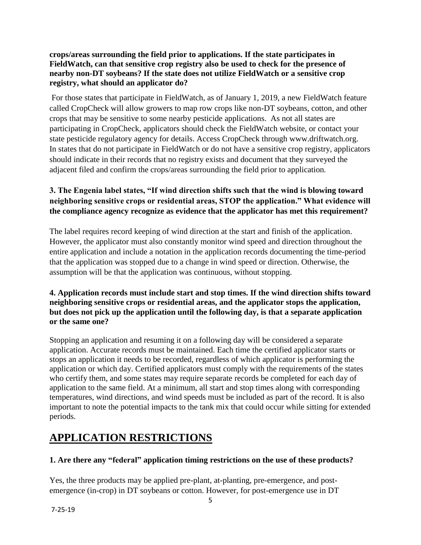#### **crops/areas surrounding the field prior to applications. If the state participates in FieldWatch, can that sensitive crop registry also be used to check for the presence of nearby non-DT soybeans? If the state does not utilize FieldWatch or a sensitive crop registry, what should an applicator do?**

For those states that participate in FieldWatch, as of January 1, 2019, a new FieldWatch feature called CropCheck will allow growers to map row crops like non-DT soybeans, cotton, and other crops that may be sensitive to some nearby pesticide applications. As not all states are participating in CropCheck, applicators should check the FieldWatch website, or contact your state pesticide regulatory agency for details. Access CropCheck through www.driftwatch.org. In states that do not participate in FieldWatch or do not have a sensitive crop registry, applicators should indicate in their records that no registry exists and document that they surveyed the adjacent filed and confirm the crops/areas surrounding the field prior to application*.*

## **3. The Engenia label states, "If wind direction shifts such that the wind is blowing toward neighboring sensitive crops or residential areas, STOP the application." What evidence will the compliance agency recognize as evidence that the applicator has met this requirement?**

The label requires record keeping of wind direction at the start and finish of the application. However, the applicator must also constantly monitor wind speed and direction throughout the entire application and include a notation in the application records documenting the time-period that the application was stopped due to a change in wind speed or direction. Otherwise, the assumption will be that the application was continuous, without stopping.

#### **4. Application records must include start and stop times. If the wind direction shifts toward neighboring sensitive crops or residential areas, and the applicator stops the application, but does not pick up the application until the following day, is that a separate application or the same one?**

Stopping an application and resuming it on a following day will be considered a separate application. Accurate records must be maintained. Each time the certified applicator starts or stops an application it needs to be recorded, regardless of which applicator is performing the application or which day. Certified applicators must comply with the requirements of the states who certify them, and some states may require separate records be completed for each day of application to the same field. At a minimum, all start and stop times along with corresponding temperatures, wind directions, and wind speeds must be included as part of the record. It is also important to note the potential impacts to the tank mix that could occur while sitting for extended periods.

# **APPLICATION RESTRICTIONS**

### **1. Are there any "federal" application timing restrictions on the use of these products?**

Yes, the three products may be applied pre-plant, at-planting, pre-emergence, and postemergence (in-crop) in DT soybeans or cotton. However, for post-emergence use in DT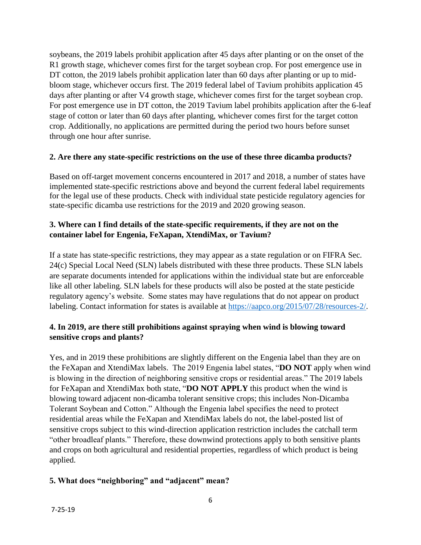soybeans, the 2019 labels prohibit application after 45 days after planting or on the onset of the R1 growth stage, whichever comes first for the target soybean crop. For post emergence use in DT cotton, the 2019 labels prohibit application later than 60 days after planting or up to midbloom stage, whichever occurs first. The 2019 federal label of Tavium prohibits application 45 days after planting or after V4 growth stage, whichever comes first for the target soybean crop. For post emergence use in DT cotton, the 2019 Tavium label prohibits application after the 6-leaf stage of cotton or later than 60 days after planting, whichever comes first for the target cotton crop. Additionally, no applications are permitted during the period two hours before sunset through one hour after sunrise.

#### **2. Are there any state-specific restrictions on the use of these three dicamba products?**

Based on off-target movement concerns encountered in 2017 and 2018, a number of states have implemented state-specific restrictions above and beyond the current federal label requirements for the legal use of these products. Check with individual state pesticide regulatory agencies for state-specific dicamba use restrictions for the 2019 and 2020 growing season.

#### **3. Where can I find details of the state-specific requirements, if they are not on the container label for Engenia, FeXapan, XtendiMax, or Tavium?**

If a state has state-specific restrictions, they may appear as a state regulation or on FIFRA Sec. 24(c) Special Local Need (SLN) labels distributed with these three products. These SLN labels are separate documents intended for applications within the individual state but are enforceable like all other labeling. SLN labels for these products will also be posted at the state pesticide regulatory agency's website. Some states may have regulations that do not appear on product labeling. Contact information for states is available at [https://aapco.org/2015/07/28/resources-2/.](https://aapco.org/2015/07/28/resources-2/)

### **4. In 2019, are there still prohibitions against spraying when wind is blowing toward sensitive crops and plants?**

Yes, and in 2019 these prohibitions are slightly different on the Engenia label than they are on the FeXapan and XtendiMax labels. The 2019 Engenia label states, "**DO NOT** apply when wind is blowing in the direction of neighboring sensitive crops or residential areas." The 2019 labels for FeXapan and XtendiMax both state, "**DO NOT APPLY** this product when the wind is blowing toward adjacent non-dicamba tolerant sensitive crops; this includes Non-Dicamba Tolerant Soybean and Cotton." Although the Engenia label specifies the need to protect residential areas while the FeXapan and XtendiMax labels do not, the label-posted list of sensitive crops subject to this wind-direction application restriction includes the catchall term "other broadleaf plants." Therefore, these downwind protections apply to both sensitive plants and crops on both agricultural and residential properties, regardless of which product is being applied.

### **5. What does "neighboring" and "adjacent" mean?**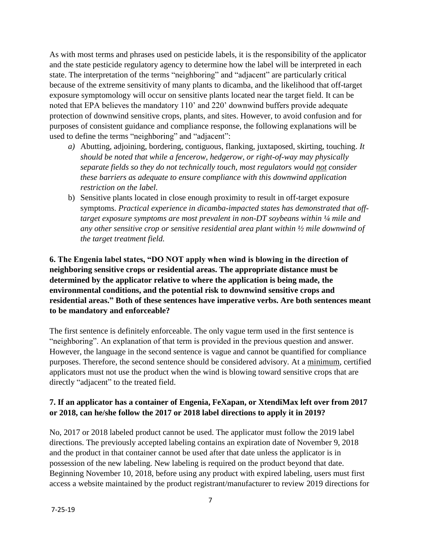As with most terms and phrases used on pesticide labels, it is the responsibility of the applicator and the state pesticide regulatory agency to determine how the label will be interpreted in each state. The interpretation of the terms "neighboring" and "adjacent" are particularly critical because of the extreme sensitivity of many plants to dicamba, and the likelihood that off-target exposure symptomology will occur on sensitive plants located near the target field. It can be noted that EPA believes the mandatory 110' and 220' downwind buffers provide adequate protection of downwind sensitive crops, plants, and sites. However, to avoid confusion and for purposes of consistent guidance and compliance response, the following explanations will be used to define the terms "neighboring" and "adjacent":

- *a)* Abutting, adjoining, bordering, contiguous, flanking, juxtaposed, skirting, touching. *It should be noted that while a fencerow, hedgerow, or right-of-way may physically separate fields so they do not technically touch, most regulators would not consider these barriers as adequate to ensure compliance with this downwind application restriction on the label.*
- b) Sensitive plants located in close enough proximity to result in off-target exposure symptoms. *Practical experience in dicamba-impacted states has demonstrated that offtarget exposure symptoms are most prevalent in non-DT soybeans within ¼ mile and any other sensitive crop or sensitive residential area plant within ½ mile downwind of the target treatment field.*

**6. The Engenia label states, "DO NOT apply when wind is blowing in the direction of neighboring sensitive crops or residential areas. The appropriate distance must be determined by the applicator relative to where the application is being made, the environmental conditions, and the potential risk to downwind sensitive crops and residential areas." Both of these sentences have imperative verbs. Are both sentences meant to be mandatory and enforceable?** 

The first sentence is definitely enforceable. The only vague term used in the first sentence is "neighboring". An explanation of that term is provided in the previous question and answer. However, the language in the second sentence is vague and cannot be quantified for compliance purposes. Therefore, the second sentence should be considered advisory. At a minimum, certified applicators must not use the product when the wind is blowing toward sensitive crops that are directly "adjacent" to the treated field.

#### **7. If an applicator has a container of Engenia, FeXapan, or XtendiMax left over from 2017 or 2018, can he/she follow the 2017 or 2018 label directions to apply it in 2019?**

No, 2017 or 2018 labeled product cannot be used. The applicator must follow the 2019 label directions. The previously accepted labeling contains an expiration date of November 9, 2018 and the product in that container cannot be used after that date unless the applicator is in possession of the new labeling. New labeling is required on the product beyond that date. Beginning November 10, 2018, before using any product with expired labeling, users must first access a website maintained by the product registrant/manufacturer to review 2019 directions for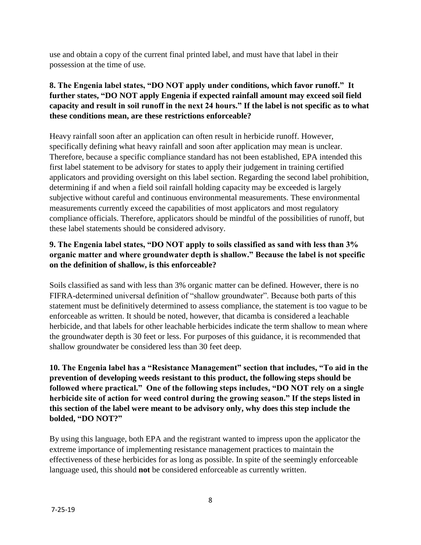use and obtain a copy of the current final printed label, and must have that label in their possession at the time of use.

### **8. The Engenia label states, "DO NOT apply under conditions, which favor runoff." It further states, "DO NOT apply Engenia if expected rainfall amount may exceed soil field capacity and result in soil runoff in the next 24 hours." If the label is not specific as to what these conditions mean, are these restrictions enforceable?**

Heavy rainfall soon after an application can often result in herbicide runoff. However, specifically defining what heavy rainfall and soon after application may mean is unclear. Therefore, because a specific compliance standard has not been established, EPA intended this first label statement to be advisory for states to apply their judgement in training certified applicators and providing oversight on this label section. Regarding the second label prohibition, determining if and when a field soil rainfall holding capacity may be exceeded is largely subjective without careful and continuous environmental measurements. These environmental measurements currently exceed the capabilities of most applicators and most regulatory compliance officials. Therefore, applicators should be mindful of the possibilities of runoff, but these label statements should be considered advisory.

### **9. The Engenia label states, "DO NOT apply to soils classified as sand with less than 3% organic matter and where groundwater depth is shallow." Because the label is not specific on the definition of shallow, is this enforceable?**

Soils classified as sand with less than 3% organic matter can be defined. However, there is no FIFRA-determined universal definition of "shallow groundwater". Because both parts of this statement must be definitively determined to assess compliance, the statement is too vague to be enforceable as written. It should be noted, however, that dicamba is considered a leachable herbicide, and that labels for other leachable herbicides indicate the term shallow to mean where the groundwater depth is 30 feet or less. For purposes of this guidance, it is recommended that shallow groundwater be considered less than 30 feet deep.

**10. The Engenia label has a "Resistance Management" section that includes, "To aid in the prevention of developing weeds resistant to this product, the following steps should be followed where practical." One of the following steps includes, "DO NOT rely on a single herbicide site of action for weed control during the growing season." If the steps listed in this section of the label were meant to be advisory only, why does this step include the bolded, "DO NOT?"** 

By using this language, both EPA and the registrant wanted to impress upon the applicator the extreme importance of implementing resistance management practices to maintain the effectiveness of these herbicides for as long as possible. In spite of the seemingly enforceable language used, this should **not** be considered enforceable as currently written.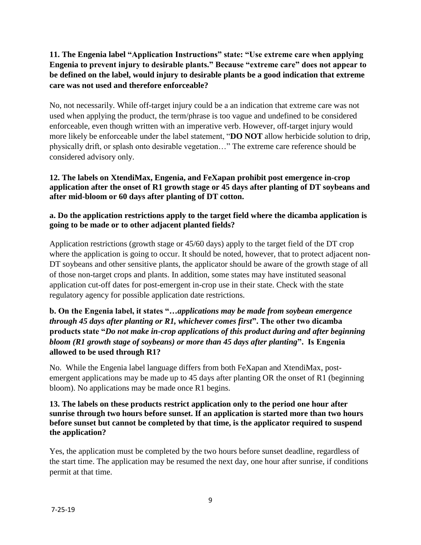### **11. The Engenia label "Application Instructions" state: "Use extreme care when applying Engenia to prevent injury to desirable plants." Because "extreme care" does not appear to be defined on the label, would injury to desirable plants be a good indication that extreme care was not used and therefore enforceable?**

No, not necessarily. While off-target injury could be a an indication that extreme care was not used when applying the product, the term/phrase is too vague and undefined to be considered enforceable, even though written with an imperative verb. However, off-target injury would more likely be enforceable under the label statement, "**DO NOT** allow herbicide solution to drip, physically drift, or splash onto desirable vegetation…" The extreme care reference should be considered advisory only.

#### **12. The labels on XtendiMax, Engenia, and FeXapan prohibit post emergence in-crop application after the onset of R1 growth stage or 45 days after planting of DT soybeans and after mid-bloom or 60 days after planting of DT cotton.**

#### **a. Do the application restrictions apply to the target field where the dicamba application is going to be made or to other adjacent planted fields?**

Application restrictions (growth stage or 45/60 days) apply to the target field of the DT crop where the application is going to occur. It should be noted, however, that to protect adjacent non-DT soybeans and other sensitive plants, the applicator should be aware of the growth stage of all of those non-target crops and plants. In addition, some states may have instituted seasonal application cut-off dates for post-emergent in-crop use in their state. Check with the state regulatory agency for possible application date restrictions.

### **b. On the Engenia label, it states "…***applications may be made from soybean emergence through 45 days after planting or R1, whichever comes first***". The other two dicamba products state "***Do not make in-crop applications of this product during and after beginning bloom (R1 growth stage of soybeans) or more than 45 days after planting***". Is Engenia allowed to be used through R1?**

No. While the Engenia label language differs from both FeXapan and XtendiMax, postemergent applications may be made up to 45 days after planting OR the onset of R1 (beginning bloom). No applications may be made once R1 begins.

#### **13. The labels on these products restrict application only to the period one hour after sunrise through two hours before sunset. If an application is started more than two hours before sunset but cannot be completed by that time, is the applicator required to suspend the application?**

Yes, the application must be completed by the two hours before sunset deadline, regardless of the start time. The application may be resumed the next day, one hour after sunrise, if conditions permit at that time.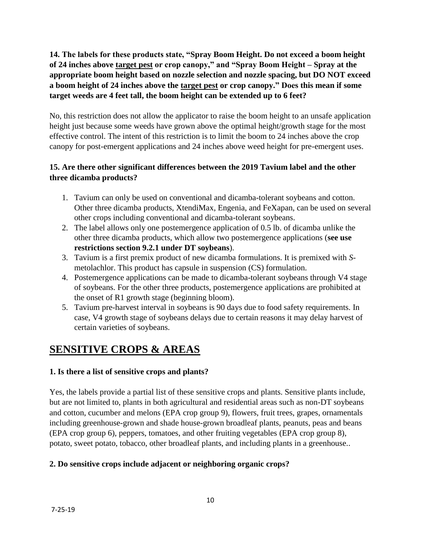**14. The labels for these products state, "Spray Boom Height. Do not exceed a boom height of 24 inches above target pest or crop canopy," and "Spray Boom Height – Spray at the appropriate boom height based on nozzle selection and nozzle spacing, but DO NOT exceed a boom height of 24 inches above the target pest or crop canopy." Does this mean if some target weeds are 4 feet tall, the boom height can be extended up to 6 feet?**

No, this restriction does not allow the applicator to raise the boom height to an unsafe application height just because some weeds have grown above the optimal height/growth stage for the most effective control. The intent of this restriction is to limit the boom to 24 inches above the crop canopy for post-emergent applications and 24 inches above weed height for pre-emergent uses.

### **15. Are there other significant differences between the 2019 Tavium label and the other three dicamba products?**

- 1. Tavium can only be used on conventional and dicamba-tolerant soybeans and cotton. Other three dicamba products, XtendiMax, Engenia, and FeXapan, can be used on several other crops including conventional and dicamba-tolerant soybeans.
- 2. The label allows only one postemergence application of 0.5 lb. of dicamba unlike the other three dicamba products, which allow two postemergence applications (**see use restrictions section 9.2.1 under DT soybeans**).
- 3. Tavium is a first premix product of new dicamba formulations. It is premixed with *S*metolachlor. This product has capsule in suspension (CS) formulation.
- 4. Postemergence applications can be made to dicamba-tolerant soybeans through V4 stage of soybeans. For the other three products, postemergence applications are prohibited at the onset of R1 growth stage (beginning bloom).
- 5. Tavium pre-harvest interval in soybeans is 90 days due to food safety requirements. In case, V4 growth stage of soybeans delays due to certain reasons it may delay harvest of certain varieties of soybeans.

## **SENSITIVE CROPS & AREAS**

### **1. Is there a list of sensitive crops and plants?**

Yes, the labels provide a partial list of these sensitive crops and plants. Sensitive plants include, but are not limited to, plants in both agricultural and residential areas such as non-DT soybeans and cotton, cucumber and melons (EPA crop group 9), flowers, fruit trees, grapes, ornamentals including greenhouse-grown and shade house-grown broadleaf plants, peanuts, peas and beans (EPA crop group 6), peppers, tomatoes, and other fruiting vegetables (EPA crop group 8), potato, sweet potato, tobacco, other broadleaf plants, and including plants in a greenhouse..

### **2. Do sensitive crops include adjacent or neighboring organic crops?**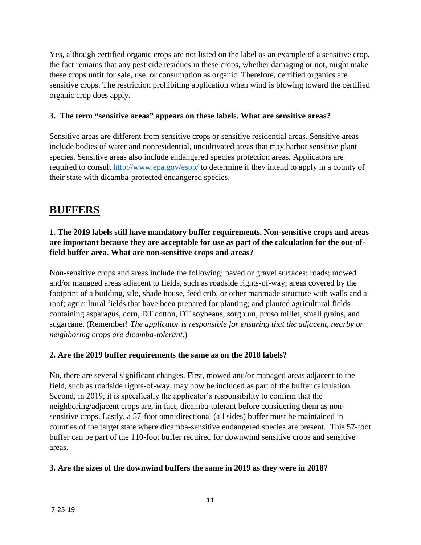Yes, although certified organic crops are not listed on the label as an example of a sensitive crop, the fact remains that any pesticide residues in these crops, whether damaging or not, might make these crops unfit for sale, use, or consumption as organic. Therefore, certified organics are sensitive crops. The restriction prohibiting application when wind is blowing toward the certified organic crop does apply.

#### **3. The term "sensitive areas" appears on these labels. What are sensitive areas?**

Sensitive areas are different from sensitive crops or sensitive residential areas. Sensitive areas include bodies of water and nonresidential, uncultivated areas that may harbor sensitive plant species. Sensitive areas also include endangered species protection areas. Applicators are required to consult<http://www.epa.gov/espp/> to determine if they intend to apply in a county of their state with dicamba-protected endangered species.

## **BUFFERS**

## **1. The 2019 labels still have mandatory buffer requirements. Non-sensitive crops and areas are important because they are acceptable for use as part of the calculation for the out-offield buffer area. What are non-sensitive crops and areas?**

Non-sensitive crops and areas include the following: paved or gravel surfaces; roads; mowed and/or managed areas adjacent to fields, such as roadside rights-of-way; areas covered by the footprint of a building, silo, shade house, feed crib, or other manmade structure with walls and a roof; agricultural fields that have been prepared for planting; and planted agricultural fields containing asparagus, corn, DT cotton, DT soybeans, sorghum, proso millet, small grains, and sugarcane. (Remember! *The applicator is responsible for ensuring that the adjacent, nearby or neighboring crops are dicamba-tolerant.*)

#### **2. Are the 2019 buffer requirements the same as on the 2018 labels?**

No, there are several significant changes. First, mowed and/or managed areas adjacent to the field, such as roadside rights-of-way, may now be included as part of the buffer calculation. Second, in 2019, it is specifically the applicator's responsibility to confirm that the neighboring/adjacent crops are, in fact, dicamba-tolerant before considering them as nonsensitive crops. Lastly, a 57-foot omnidirectional (all sides) buffer must be maintained in counties of the target state where dicamba-sensitive endangered species are present. This 57-foot buffer can be part of the 110-foot buffer required for downwind sensitive crops and sensitive areas.

### **3. Are the sizes of the downwind buffers the same in 2019 as they were in 2018?**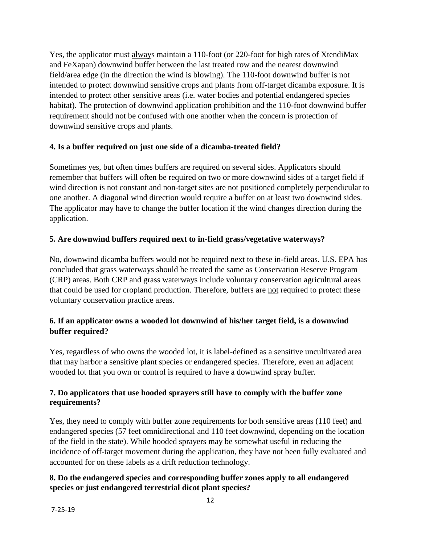Yes, the applicator must always maintain a 110-foot (or 220-foot for high rates of XtendiMax and FeXapan) downwind buffer between the last treated row and the nearest downwind field/area edge (in the direction the wind is blowing). The 110-foot downwind buffer is not intended to protect downwind sensitive crops and plants from off-target dicamba exposure. It is intended to protect other sensitive areas (i.e. water bodies and potential endangered species habitat). The protection of downwind application prohibition and the 110-foot downwind buffer requirement should not be confused with one another when the concern is protection of downwind sensitive crops and plants.

#### **4. Is a buffer required on just one side of a dicamba-treated field?**

Sometimes yes, but often times buffers are required on several sides. Applicators should remember that buffers will often be required on two or more downwind sides of a target field if wind direction is not constant and non-target sites are not positioned completely perpendicular to one another. A diagonal wind direction would require a buffer on at least two downwind sides. The applicator may have to change the buffer location if the wind changes direction during the application.

#### **5. Are downwind buffers required next to in-field grass/vegetative waterways?**

No, downwind dicamba buffers would not be required next to these in-field areas. U.S. EPA has concluded that grass waterways should be treated the same as Conservation Reserve Program (CRP) areas. Both CRP and grass waterways include voluntary conservation agricultural areas that could be used for cropland production. Therefore, buffers are not required to protect these voluntary conservation practice areas.

#### **6. If an applicator owns a wooded lot downwind of his/her target field, is a downwind buffer required?**

Yes, regardless of who owns the wooded lot, it is label-defined as a sensitive uncultivated area that may harbor a sensitive plant species or endangered species. Therefore, even an adjacent wooded lot that you own or control is required to have a downwind spray buffer.

#### **7. Do applicators that use hooded sprayers still have to comply with the buffer zone requirements?**

Yes, they need to comply with buffer zone requirements for both sensitive areas (110 feet) and endangered species (57 feet omnidirectional and 110 feet downwind, depending on the location of the field in the state). While hooded sprayers may be somewhat useful in reducing the incidence of off-target movement during the application, they have not been fully evaluated and accounted for on these labels as a drift reduction technology.

#### **8. Do the endangered species and corresponding buffer zones apply to all endangered species or just endangered terrestrial dicot plant species?**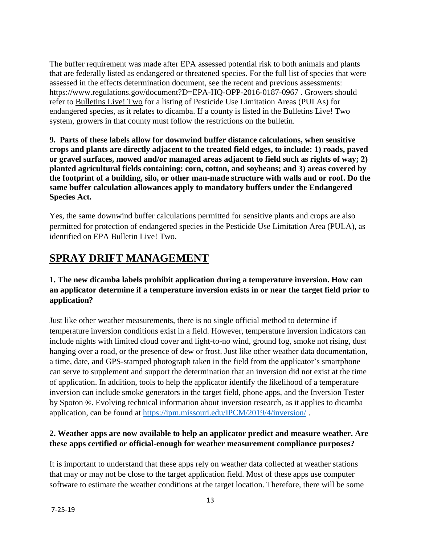The buffer requirement was made after EPA assessed potential risk to both animals and plants that are federally listed as endangered or threatened species. For the full list of species that were assessed in the effects determination document, see the recent and previous assessments: <https://www.regulations.gov/document?D=EPA-HQ-OPP-2016-0187-0967> . Growers should refer to [Bulletins Live!](https://www.epa.gov/endangered-species/bulletins-live-two-view-bulletins) Two for a listing of Pesticide Use Limitation Areas (PULAs) for endangered species, as it relates to dicamba. If a county is listed in the Bulletins Live! Two system, growers in that county must follow the restrictions on the bulletin.

**9. Parts of these labels allow for downwind buffer distance calculations, when sensitive crops and plants are directly adjacent to the treated field edges, to include: 1) roads, paved or gravel surfaces, mowed and/or managed areas adjacent to field such as rights of way; 2) planted agricultural fields containing: corn, cotton, and soybeans; and 3) areas covered by the footprint of a building, silo, or other man-made structure with walls and or roof. Do the same buffer calculation allowances apply to mandatory buffers under the Endangered Species Act.**

Yes, the same downwind buffer calculations permitted for sensitive plants and crops are also permitted for protection of endangered species in the Pesticide Use Limitation Area (PULA), as identified on EPA Bulletin Live! Two.

# **SPRAY DRIFT MANAGEMENT**

### **1. The new dicamba labels prohibit application during a temperature inversion. How can an applicator determine if a temperature inversion exists in or near the target field prior to application?**

Just like other weather measurements, there is no single official method to determine if temperature inversion conditions exist in a field. However, temperature inversion indicators can include nights with limited cloud cover and light-to-no wind, ground fog, smoke not rising, dust hanging over a road, or the presence of dew or frost. Just like other weather data documentation, a time, date, and GPS-stamped photograph taken in the field from the applicator's smartphone can serve to supplement and support the determination that an inversion did not exist at the time of application. In addition, tools to help the applicator identify the likelihood of a temperature inversion can include smoke generators in the target field, phone apps, and the Inversion Tester by Spoton ®. Evolving technical information about inversion research, as it applies to dicamba application, can be found at<https://ipm.missouri.edu/IPCM/2019/4/inversion/> .

### **2. Weather apps are now available to help an applicator predict and measure weather. Are these apps certified or official-enough for weather measurement compliance purposes?**

It is important to understand that these apps rely on weather data collected at weather stations that may or may not be close to the target application field. Most of these apps use computer software to estimate the weather conditions at the target location. Therefore, there will be some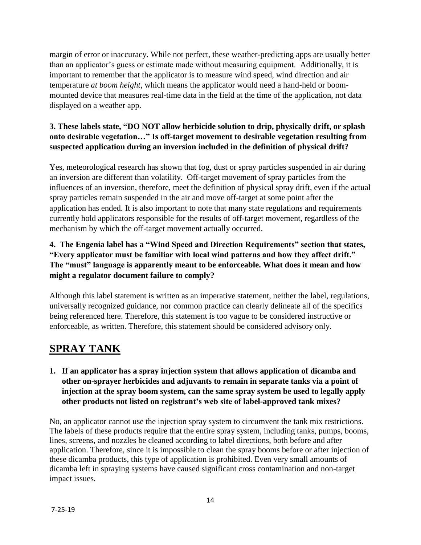margin of error or inaccuracy. While not perfect, these weather-predicting apps are usually better than an applicator's guess or estimate made without measuring equipment. Additionally, it is important to remember that the applicator is to measure wind speed, wind direction and air temperature *at boom height*, which means the applicator would need a hand-held or boommounted device that measures real-time data in the field at the time of the application, not data displayed on a weather app.

## **3. These labels state, "DO NOT allow herbicide solution to drip, physically drift, or splash onto desirable vegetation…" Is off-target movement to desirable vegetation resulting from suspected application during an inversion included in the definition of physical drift?**

Yes, meteorological research has shown that fog, dust or spray particles suspended in air during an inversion are different than volatility. Off-target movement of spray particles from the influences of an inversion, therefore, meet the definition of physical spray drift, even if the actual spray particles remain suspended in the air and move off-target at some point after the application has ended. It is also important to note that many state regulations and requirements currently hold applicators responsible for the results of off-target movement, regardless of the mechanism by which the off-target movement actually occurred.

## **4. The Engenia label has a "Wind Speed and Direction Requirements" section that states, "Every applicator must be familiar with local wind patterns and how they affect drift." The "must" language is apparently meant to be enforceable. What does it mean and how might a regulator document failure to comply?**

Although this label statement is written as an imperative statement, neither the label, regulations, universally recognized guidance, nor common practice can clearly delineate all of the specifics being referenced here. Therefore, this statement is too vague to be considered instructive or enforceable, as written. Therefore, this statement should be considered advisory only.

# **SPRAY TANK**

**1. If an applicator has a spray injection system that allows application of dicamba and other on-sprayer herbicides and adjuvants to remain in separate tanks via a point of injection at the spray boom system, can the same spray system be used to legally apply other products not listed on registrant's web site of label-approved tank mixes?**

No, an applicator cannot use the injection spray system to circumvent the tank mix restrictions. The labels of these products require that the entire spray system, including tanks, pumps, booms, lines, screens, and nozzles be cleaned according to label directions, both before and after application. Therefore, since it is impossible to clean the spray booms before or after injection of these dicamba products, this type of application is prohibited. Even very small amounts of dicamba left in spraying systems have caused significant cross contamination and non-target impact issues.